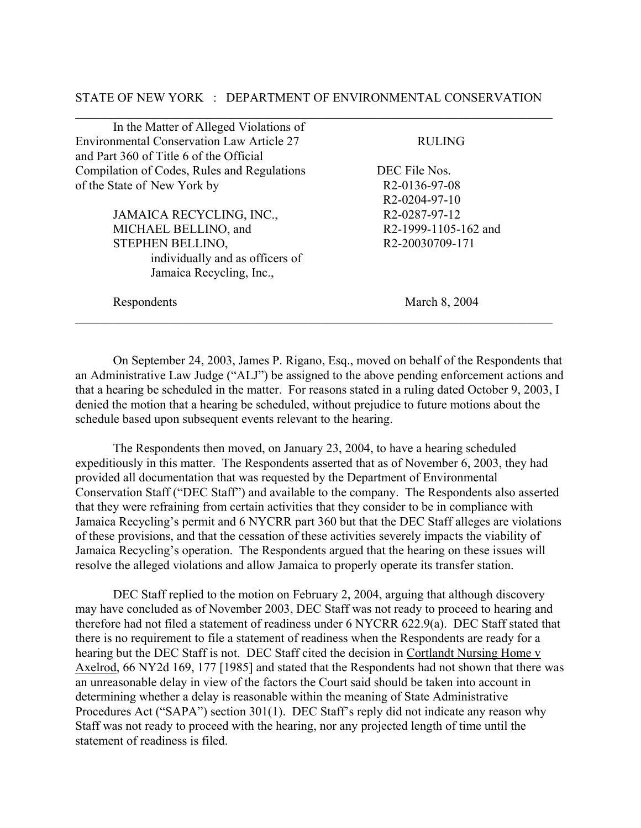## STATE OF NEW YORK : DEPARTMENT OF ENVIRONMENTAL CONSERVATION  $\mathcal{L}_\mathcal{L} = \{ \mathcal{L}_\mathcal{L} = \{ \mathcal{L}_\mathcal{L} = \{ \mathcal{L}_\mathcal{L} = \{ \mathcal{L}_\mathcal{L} = \{ \mathcal{L}_\mathcal{L} = \{ \mathcal{L}_\mathcal{L} = \{ \mathcal{L}_\mathcal{L} = \{ \mathcal{L}_\mathcal{L} = \{ \mathcal{L}_\mathcal{L} = \{ \mathcal{L}_\mathcal{L} = \{ \mathcal{L}_\mathcal{L} = \{ \mathcal{L}_\mathcal{L} = \{ \mathcal{L}_\mathcal{L} = \{ \mathcal{L}_\mathcal{$

| In the Matter of Alleged Violations of           |                              |  |
|--------------------------------------------------|------------------------------|--|
| <b>Environmental Conservation Law Article 27</b> | <b>RULING</b>                |  |
| and Part 360 of Title 6 of the Official          |                              |  |
| Compilation of Codes, Rules and Regulations      | DEC File Nos.                |  |
| of the State of New York by                      | R <sub>2</sub> -0136-97-08   |  |
|                                                  | R <sub>2</sub> -0204-97-10   |  |
| JAMAICA RECYCLING, INC.,                         | R2-0287-97-12                |  |
| MICHAEL BELLINO, and                             | R2-1999-1105-162 and         |  |
| STEPHEN BELLINO,                                 | R <sub>2</sub> -20030709-171 |  |
| individually and as officers of                  |                              |  |
| Jamaica Recycling, Inc.,                         |                              |  |
| Respondents                                      | March 8, 2004                |  |
|                                                  |                              |  |

On September 24, 2003, James P. Rigano, Esq., moved on behalf of the Respondents that an Administrative Law Judge ("ALJ") be assigned to the above pending enforcement actions and that a hearing be scheduled in the matter. For reasons stated in a ruling dated October 9, 2003, I denied the motion that a hearing be scheduled, without prejudice to future motions about the schedule based upon subsequent events relevant to the hearing.

The Respondents then moved, on January 23, 2004, to have a hearing scheduled expeditiously in this matter. The Respondents asserted that as of November 6, 2003, they had provided all documentation that was requested by the Department of Environmental Conservation Staff ("DEC Staff") and available to the company. The Respondents also asserted that they were refraining from certain activities that they consider to be in compliance with Jamaica Recycling's permit and 6 NYCRR part 360 but that the DEC Staff alleges are violations of these provisions, and that the cessation of these activities severely impacts the viability of Jamaica Recycling's operation. The Respondents argued that the hearing on these issues will resolve the alleged violations and allow Jamaica to properly operate its transfer station.

DEC Staff replied to the motion on February 2, 2004, arguing that although discovery may have concluded as of November 2003, DEC Staff was not ready to proceed to hearing and therefore had not filed a statement of readiness under 6 NYCRR 622.9(a). DEC Staff stated that there is no requirement to file a statement of readiness when the Respondents are ready for a hearing but the DEC Staff is not. DEC Staff cited the decision in Cortlandt Nursing Home v Axelrod, 66 NY2d 169, 177 [1985] and stated that the Respondents had not shown that there was an unreasonable delay in view of the factors the Court said should be taken into account in determining whether a delay is reasonable within the meaning of State Administrative Procedures Act ("SAPA") section 301(1). DEC Staff's reply did not indicate any reason why Staff was not ready to proceed with the hearing, nor any projected length of time until the statement of readiness is filed.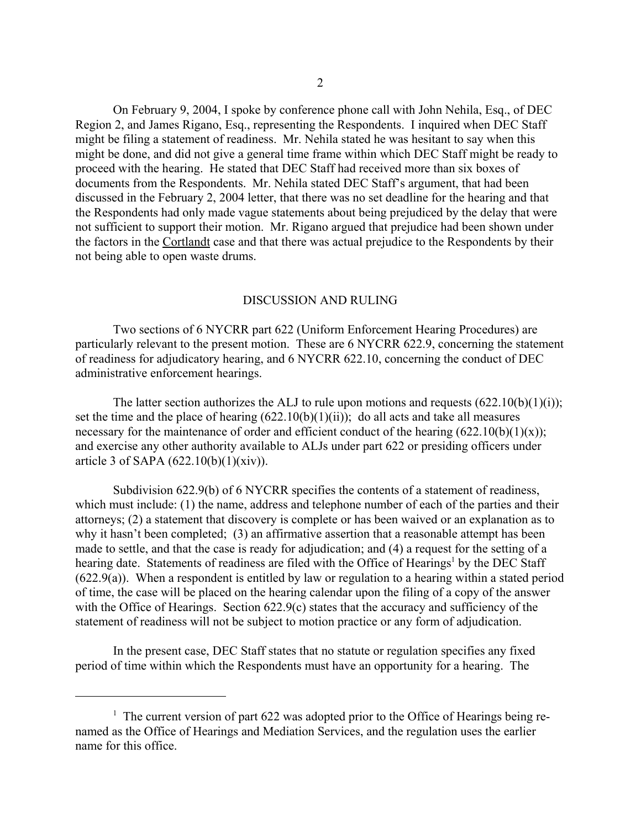On February 9, 2004, I spoke by conference phone call with John Nehila, Esq., of DEC Region 2, and James Rigano, Esq., representing the Respondents. I inquired when DEC Staff might be filing a statement of readiness. Mr. Nehila stated he was hesitant to say when this might be done, and did not give a general time frame within which DEC Staff might be ready to proceed with the hearing. He stated that DEC Staff had received more than six boxes of documents from the Respondents. Mr. Nehila stated DEC Staff's argument, that had been discussed in the February 2, 2004 letter, that there was no set deadline for the hearing and that the Respondents had only made vague statements about being prejudiced by the delay that were not sufficient to support their motion. Mr. Rigano argued that prejudice had been shown under the factors in the Cortlandt case and that there was actual prejudice to the Respondents by their not being able to open waste drums.

## DISCUSSION AND RULING

Two sections of 6 NYCRR part 622 (Uniform Enforcement Hearing Procedures) are particularly relevant to the present motion. These are 6 NYCRR 622.9, concerning the statement of readiness for adjudicatory hearing, and 6 NYCRR 622.10, concerning the conduct of DEC administrative enforcement hearings.

The latter section authorizes the ALJ to rule upon motions and requests  $(622.10(b)(1)(i))$ ; set the time and the place of hearing  $(622.10(b)(1)(ii))$ ; do all acts and take all measures necessary for the maintenance of order and efficient conduct of the hearing  $(622.10(b)(1)(x))$ ; and exercise any other authority available to ALJs under part 622 or presiding officers under article 3 of SAPA (622.10(b)(1)(xiv)).

Subdivision 622.9(b) of 6 NYCRR specifies the contents of a statement of readiness, which must include: (1) the name, address and telephone number of each of the parties and their attorneys; (2) a statement that discovery is complete or has been waived or an explanation as to why it hasn't been completed; (3) an affirmative assertion that a reasonable attempt has been made to settle, and that the case is ready for adjudication; and (4) a request for the setting of a hearing date. Statements of readiness are filed with the Office of Hearings<sup>1</sup> by the DEC Staff (622.9(a)). When a respondent is entitled by law or regulation to a hearing within a stated period of time, the case will be placed on the hearing calendar upon the filing of a copy of the answer with the Office of Hearings. Section 622.9(c) states that the accuracy and sufficiency of the statement of readiness will not be subject to motion practice or any form of adjudication.

In the present case, DEC Staff states that no statute or regulation specifies any fixed period of time within which the Respondents must have an opportunity for a hearing. The

<sup>&</sup>lt;sup>1</sup> The current version of part 622 was adopted prior to the Office of Hearings being renamed as the Office of Hearings and Mediation Services, and the regulation uses the earlier name for this office.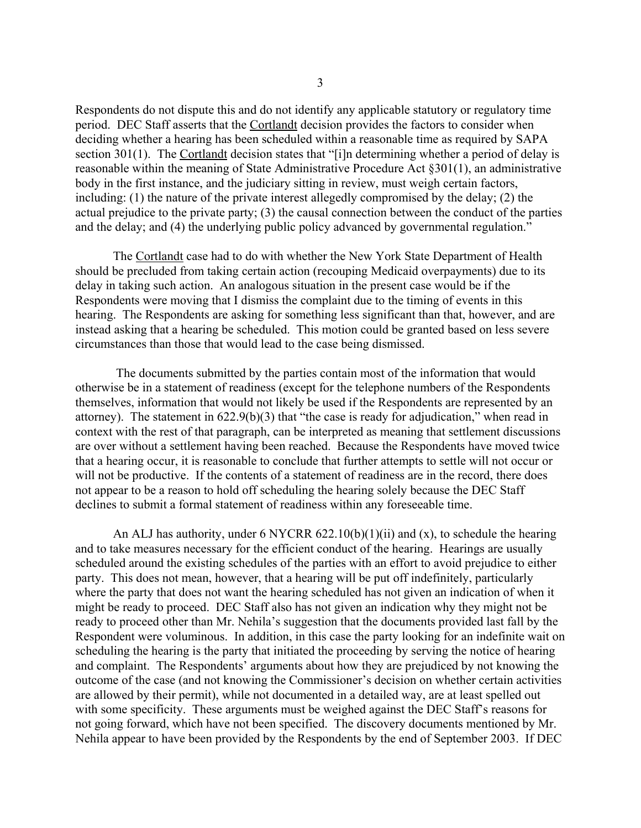Respondents do not dispute this and do not identify any applicable statutory or regulatory time period. DEC Staff asserts that the Cortlandt decision provides the factors to consider when deciding whether a hearing has been scheduled within a reasonable time as required by SAPA section 301(1). The Cortlandt decision states that "[i]n determining whether a period of delay is reasonable within the meaning of State Administrative Procedure Act §301(1), an administrative body in the first instance, and the judiciary sitting in review, must weigh certain factors, including: (1) the nature of the private interest allegedly compromised by the delay; (2) the actual prejudice to the private party; (3) the causal connection between the conduct of the parties and the delay; and (4) the underlying public policy advanced by governmental regulation."

The Cortlandt case had to do with whether the New York State Department of Health should be precluded from taking certain action (recouping Medicaid overpayments) due to its delay in taking such action. An analogous situation in the present case would be if the Respondents were moving that I dismiss the complaint due to the timing of events in this hearing. The Respondents are asking for something less significant than that, however, and are instead asking that a hearing be scheduled. This motion could be granted based on less severe circumstances than those that would lead to the case being dismissed.

 The documents submitted by the parties contain most of the information that would otherwise be in a statement of readiness (except for the telephone numbers of the Respondents themselves, information that would not likely be used if the Respondents are represented by an attorney). The statement in 622.9(b)(3) that "the case is ready for adjudication," when read in context with the rest of that paragraph, can be interpreted as meaning that settlement discussions are over without a settlement having been reached. Because the Respondents have moved twice that a hearing occur, it is reasonable to conclude that further attempts to settle will not occur or will not be productive. If the contents of a statement of readiness are in the record, there does not appear to be a reason to hold off scheduling the hearing solely because the DEC Staff declines to submit a formal statement of readiness within any foreseeable time.

An ALJ has authority, under 6 NYCRR 622.10(b)(1)(ii) and (x), to schedule the hearing and to take measures necessary for the efficient conduct of the hearing. Hearings are usually scheduled around the existing schedules of the parties with an effort to avoid prejudice to either party. This does not mean, however, that a hearing will be put off indefinitely, particularly where the party that does not want the hearing scheduled has not given an indication of when it might be ready to proceed. DEC Staff also has not given an indication why they might not be ready to proceed other than Mr. Nehila's suggestion that the documents provided last fall by the Respondent were voluminous. In addition, in this case the party looking for an indefinite wait on scheduling the hearing is the party that initiated the proceeding by serving the notice of hearing and complaint. The Respondents' arguments about how they are prejudiced by not knowing the outcome of the case (and not knowing the Commissioner's decision on whether certain activities are allowed by their permit), while not documented in a detailed way, are at least spelled out with some specificity. These arguments must be weighed against the DEC Staff's reasons for not going forward, which have not been specified. The discovery documents mentioned by Mr. Nehila appear to have been provided by the Respondents by the end of September 2003. If DEC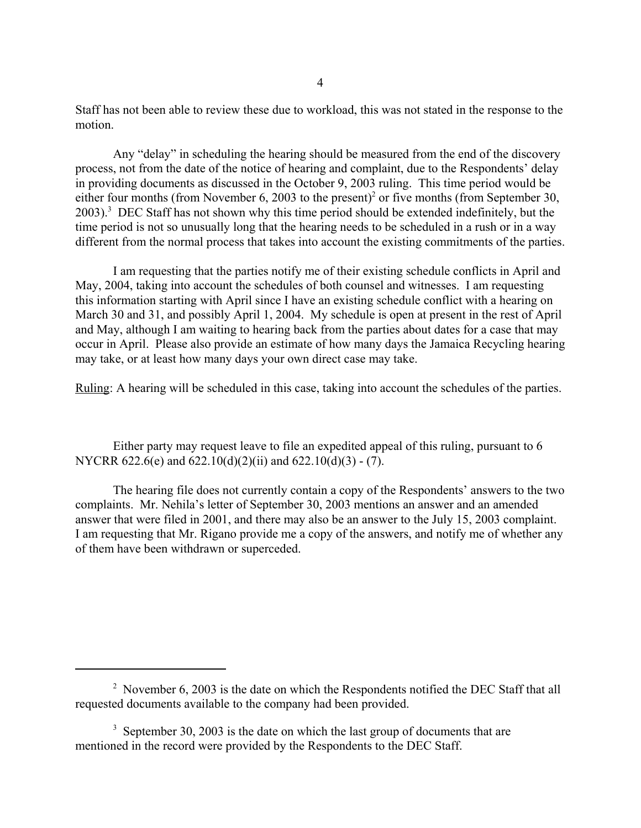Staff has not been able to review these due to workload, this was not stated in the response to the motion.

Any "delay" in scheduling the hearing should be measured from the end of the discovery process, not from the date of the notice of hearing and complaint, due to the Respondents' delay in providing documents as discussed in the October 9, 2003 ruling. This time period would be either four months (from November 6, 2003 to the present)<sup>2</sup> or five months (from September 30, 2003).<sup>3</sup> DEC Staff has not shown why this time period should be extended indefinitely, but the time period is not so unusually long that the hearing needs to be scheduled in a rush or in a way different from the normal process that takes into account the existing commitments of the parties.

I am requesting that the parties notify me of their existing schedule conflicts in April and May, 2004, taking into account the schedules of both counsel and witnesses. I am requesting this information starting with April since I have an existing schedule conflict with a hearing on March 30 and 31, and possibly April 1, 2004. My schedule is open at present in the rest of April and May, although I am waiting to hearing back from the parties about dates for a case that may occur in April. Please also provide an estimate of how many days the Jamaica Recycling hearing may take, or at least how many days your own direct case may take.

Ruling: A hearing will be scheduled in this case, taking into account the schedules of the parties.

Either party may request leave to file an expedited appeal of this ruling, pursuant to 6 NYCRR 622.6(e) and 622.10(d)(2)(ii) and 622.10(d)(3) - (7).

The hearing file does not currently contain a copy of the Respondents' answers to the two complaints. Mr. Nehila's letter of September 30, 2003 mentions an answer and an amended answer that were filed in 2001, and there may also be an answer to the July 15, 2003 complaint. I am requesting that Mr. Rigano provide me a copy of the answers, and notify me of whether any of them have been withdrawn or superceded.

<sup>&</sup>lt;sup>2</sup> November 6, 2003 is the date on which the Respondents notified the DEC Staff that all requested documents available to the company had been provided.

 $3$  September 30, 2003 is the date on which the last group of documents that are mentioned in the record were provided by the Respondents to the DEC Staff.